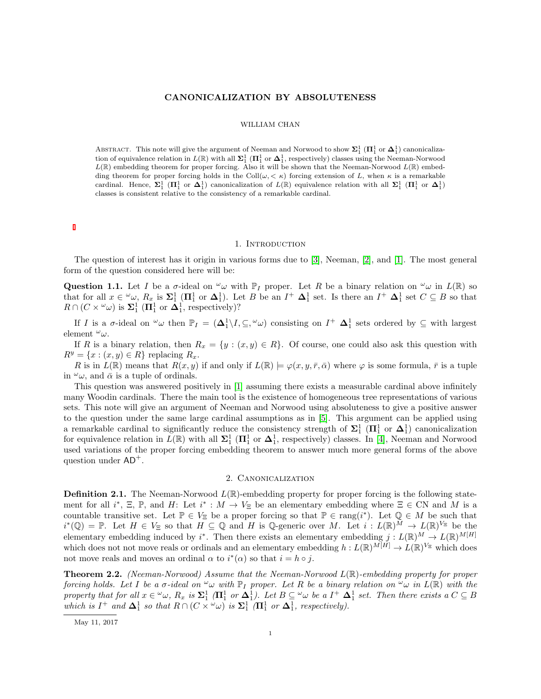# CANONICALIZATION BY ABSOLUTENESS

### WILLIAM CHAN

ABSTRACT. This note will give the argument of Neeman and Norwood to show  $\Sigma_1^1$  ( $\Pi_1^1$  or  $\Delta_1^1$ ) canonicalization of equivalence relation in  $L(\mathbb{R})$  with all  $\Sigma_1^1$  ( $\Pi_1^1$  or  $\Delta_1^1$ , respectively) classes using the Neeman-Norwood  $L(\mathbb{R})$  embedding theorem for proper forcing. Also it will be shown that the Neeman-Norwood  $L(\mathbb{R})$  embedding theorem for proper forcing holds in the Coll $(\omega, < \kappa)$  forcing extension of L, when  $\kappa$  is a remarkable cardinal. Hence,  $\Sigma_1^1$  ( $\Pi_1^1$  or  $\Delta_1^1$ ) canonicalization of  $L(\mathbb{R})$  equivalence relation with all  $\Sigma_1^1$  ( $\Pi_1^1$  or  $\Delta_1^1$ ) classes is consistent relative to the consistency of a remarkable cardinal.

#### 1. INTRODUCTION

The question of interest has it origin in various forms due to [\[3\]](#page-3-0), Neeman, [\[2\]](#page-3-1), and [\[1\]](#page-3-2). The most general form of the question considered here will be:

Question 1.1. Let I be a  $\sigma$ -ideal on  $\omega$  with  $\mathbb{P}_I$  proper. Let R be a binary relation on  $\omega$  in  $L(\mathbb{R})$  so that for all  $x \in \omega$ ,  $R_x$  is  $\Sigma_1^1$  ( $\Pi_1^1$  or  $\Delta_1^1$ ). Let B be an  $I^+ \Delta_1^1$  set. Is there an  $I^+ \Delta_1^1$  set  $C \subseteq B$  so that  $R \cap (C \times \omega)$  is  $\Sigma_1^1$   $(\Pi_1^1 \text{ or } \Delta_1^1, \text{ respectively})$ ?

If I is a  $\sigma$ -ideal on  $\omega$  then  $\mathbb{P}_I = (\Delta_1^1 \setminus I, \subseteq, \omega)$  consisting on  $I^+$   $\Delta_1^1$  sets ordered by  $\subseteq$  with largest element  $\omega_{\omega}$ .

If R is a binary relation, then  $R_x = \{y : (x, y) \in R\}$ . Of course, one could also ask this question with  $R^y = \{x : (x, y) \in R\}$  replacing  $R_x$ .

R is in  $L(\mathbb{R})$  means that  $R(x, y)$  if and only if  $L(\mathbb{R}) \models \varphi(x, y, \bar{r}, \bar{\alpha})$  where  $\varphi$  is some formula,  $\bar{r}$  is a tuple in  $\omega_{\omega}$ , and  $\bar{\alpha}$  is a tuple of ordinals.

This question was answered positively in [\[1\]](#page-3-2) assuming there exists a measurable cardinal above infinitely many Woodin cardinals. There the main tool is the existence of homogeneous tree representations of various sets. This note will give an argument of Neeman and Norwood using absoluteness to give a positive answer to the question under the same large cardinal assumptions as in [\[5\]](#page-4-0). This argument can be applied using a remarkable cardinal to significantly reduce the consistency strength of  $\Sigma_1^1$  ( $\Pi_1^1$  or  $\Delta_1^1$ ) canonicalization for equivalence relation in  $L(\mathbb{R})$  with all  $\Sigma_1^1$  ( $\Pi_1^1$  or  $\Delta_1^1$ , respectively) classes. In [\[4\]](#page-4-1), Neeman and Norwood used variations of the proper forcing embedding theorem to answer much more general forms of the above question under  $AD^+$ .

## 2. Canonicalization

<span id="page-0-0"></span>**Definition 2.1.** The Neeman-Norwood  $L(\mathbb{R})$ -embedding property for proper forcing is the following statement for all  $i^*$ ,  $\Xi$ ,  $\mathbb{P}$ , and H: Let  $i^* : M \to V_{\Xi}$  be an elementary embedding where  $\Xi \in \mathbb{C}N$  and M is a countable transitive set. Let  $\mathbb{P} \in V_{\Xi}$  be a proper forcing so that  $\mathbb{P} \in \text{rang}(i^*)$ . Let  $\mathbb{Q} \in M$  be such that  $i^*(\mathbb{Q}) = \mathbb{P}$ . Let  $H \in V_{\Xi}$  so that  $H \subseteq \mathbb{Q}$  and H is Q-generic over M. Let  $i: L(\mathbb{R})^M \to L(\mathbb{R})^{V_{\Xi}}$  be the elementary embedding induced by i<sup>\*</sup>. Then there exists an elementary embedding  $j: L(\mathbb{R})^M \to L(\mathbb{R})^{M[H]}$ which does not not move reals or ordinals and an elementary embedding  $h: L(\mathbb{R})^{M[H]} \to L(\mathbb{R})^{V_{\Xi}}$  which does not move reals and moves an ordinal  $\alpha$  to  $i^*(\alpha)$  so that  $i = h \circ j$ .

**Theorem 2.2.** (Neeman-Norwood) Assume that the Neeman-Norwood  $L(\mathbb{R})$ -embedding property for proper forcing holds. Let I be a  $\sigma$ -ideal on  $\omega_{\omega}$  with  $\mathbb{P}_I$  proper. Let R be a binary relation on  $\omega_{\omega}$  in  $L(\mathbb{R})$  with the property that for all  $x \in \omega$ ,  $R_x$  is  $\Sigma_1^1$  ( $\Pi_1^1$  or  $\Delta_1^1$ ). Let  $B \subseteq \omega$  be a  $I^+$   $\Delta_1^1$  set. Then there exists a  $C \subseteq B$ which is  $I^+$  and  $\Delta_1^1$  so that  $R \cap (C \times \omega)$  is  $\Sigma_1^1$  ( $\Pi_1^1$  or  $\Delta_1^1$ , respectively).

May 11, 2017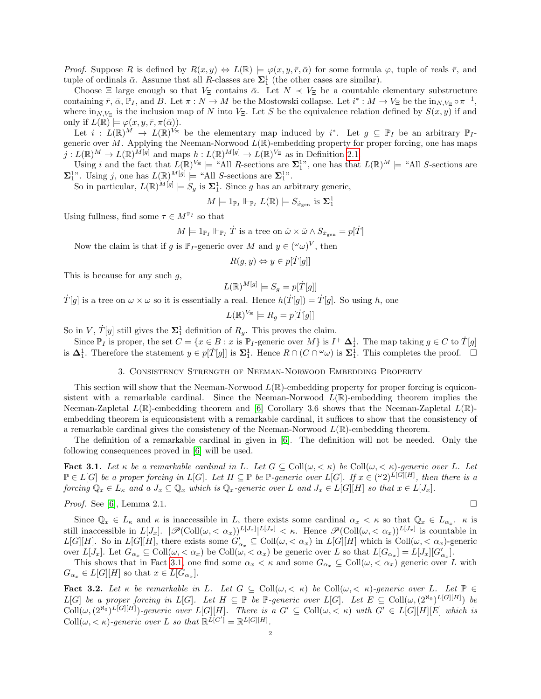*Proof.* Suppose R is defined by  $R(x, y) \Leftrightarrow L(\mathbb{R}) \models \varphi(x, y, \bar{r}, \bar{\alpha})$  for some formula  $\varphi$ , tuple of reals  $\bar{r}$ , and tuple of ordinals  $\bar{\alpha}$ . Assume that all R-classes are  $\Sigma_1^1$  (the other cases are similar).

Choose  $\Xi$  large enough so that  $V_{\Xi}$  contains  $\bar{\alpha}$ . Let  $N \prec V_{\Xi}$  be a countable elementary substructure containing  $\bar{r}$ ,  $\bar{\alpha}$ ,  $\bar{\mathbb{P}}_I$ , and B. Let  $\pi : N \to M$  be the Mostowski collapse. Let  $i^* : M \to V_{\Xi}$  be the  $\text{in}_{N,V_{\Xi}} \circ \pi^{-1}$ , where  $\text{in}_{N,V_{\Xi}}$  is the inclusion map of N into  $V_{\Xi}$ . Let S be the equivalence relation defined by  $S(x, y)$  if and only if  $L(\mathbb{R}) \models \varphi(x, y, \bar{r}, \pi(\bar{\alpha})).$ 

Let  $i: L(\mathbb{R})^M \to L(\mathbb{R})^{V_{\Xi}}$  be the elementary map induced by  $i^*$ . Let  $g \subseteq \mathbb{P}_I$  be an arbitrary  $\mathbb{P}_I$ generic over M. Applying the Neeman-Norwood  $L(\mathbb{R})$ -embedding property for proper forcing, one has maps  $j: L(\mathbb{R})^M \to L(\mathbb{R})^{M[g]}$  and maps  $h: L(\mathbb{R})^{M[g]} \to L(\mathbb{R})^{V_{\Xi}}$  as in Definition [2.1.](#page-0-0)

Using i and the fact that  $L(\mathbb{R})^{V_{\Xi}} \models$  "All R-sections are  $\Sigma_1^1$ ", one has that  $L(\mathbb{R})^M \models$  "All S-sections are  $\Sigma_1^{1}$ ". Using j, one has  $L(\mathbb{R})^{M[g]} \models$  "All S-sections are  $\Sigma_1^{1}$ ".

So in particular,  $L(\mathbb{R})^{\tilde{M}[g]} \models S_g$  is  $\Sigma_1^1$ . Since g has an arbitrary generic,

$$
M \models 1_{\mathbb{P}_I} \Vdash_{\mathbb{P}_I} L(\mathbb{R}) \models S_{\dot{x}_{\text{gen}}} \text{ is } \Sigma_1^1
$$

Using fullness, find some  $\tau \in M^{\mathbb{P}_{I}}$  so that

$$
M \models 1_{\mathbb{P}_I} \Vdash_{\mathbb{P}_I} \dot{T} \text{ is a tree on } \check{\omega} \times \check{\omega} \wedge S_{\dot{x}_{\text{gen}}} = p[\dot{T}]
$$

Now the claim is that if g is  $\mathbb{P}_I$ -generic over M and  $y \in (\omega \omega)^V$ , then

$$
R(g, y) \Leftrightarrow y \in p[\dot{T}[g]]
$$

This is because for any such  $g$ ,

$$
L(\mathbb{R})^{M[g]} \models S_g = p[\dot{T}[g]]
$$

 $\dot{T}[g]$  is a tree on  $\omega \times \omega$  so it is essentially a real. Hence  $h(\dot{T}[g]) = \dot{T}[g]$ . So using h, one

$$
L(\mathbb{R})^{V_{\Xi}} \models R_g = p[\dot{T}[g]]
$$

So in V,  $\dot{T}[y]$  still gives the  $\Sigma_1^1$  definition of  $R_g$ . This proves the claim.

Since  $\mathbb{P}_I$  is proper, the set  $C = \{x \in B : x \text{ is } \mathbb{P}_I\text{-generic over } M\}$  is  $I^+ \Delta_1^1$ . The map taking  $g \in C$  to  $\dot{T}[g]$ is  $\Delta_1^1$ . Therefore the statement  $y \in p[T[g]]$  is  $\Sigma_1^1$ . Hence  $R \cap (C \cap \omega)$  is  $\Sigma_1^1$ . This completes the proof. □

## 3. Consistency Strength of Neeman-Norwood Embedding Property

This section will show that the Neeman-Norwood  $L(\mathbb{R})$ -embedding property for proper forcing is equiconsistent with a remarkable cardinal. Since the Neeman-Norwood  $L(\mathbb{R})$ -embedding theorem implies the Neeman-Zapletal  $L(\mathbb{R})$ -embedding theorem and [\[6\]](#page-4-2) Corollary 3.6 shows that the Neeman-Zapletal  $L(\mathbb{R})$ embedding theorem is equiconsistent with a remarkable cardinal, it suffices to show that the consistency of a remarkable cardinal gives the consistency of the Neeman-Norwood  $L(\mathbb{R})$ -embedding theorem.

The definition of a remarkable cardinal in given in [\[6\]](#page-4-2). The definition will not be needed. Only the following consequences proved in [\[6\]](#page-4-2) will be used.

<span id="page-1-0"></span>Fact 3.1. Let  $\kappa$  be a remarkable cardinal in L. Let  $G \subseteq \text{Coll}(\omega, \langle \kappa \rangle)$  be  $\text{Coll}(\omega, \langle \kappa \rangle)$ -generic over L. Let  $\mathbb{P} \in L[G]$  be a proper forcing in  $L[G]$ . Let  $H \subseteq \mathbb{P}$  be  $\mathbb{P}$ -generic over  $L[G]$ . If  $x \in (^\omega 2)^{L[G][H]}$ , then there is a forcing  $\mathbb{Q}_x \in L_{\kappa}$  and a  $J_x \subseteq \mathbb{Q}_x$  which is  $\mathbb{Q}_x$ -generic over L and  $J_x \in L[G][H]$  so that  $x \in L[J_x]$ .

Proof. See [\[6\]](#page-4-2), Lemma 2.1.

$$
\qquad \qquad \Box
$$

Since  $\mathbb{Q}_x \in L_\kappa$  and  $\kappa$  is inaccessible in L, there exists some cardinal  $\alpha_x < \kappa$  so that  $\mathbb{Q}_x \in L_{\alpha_x}$ .  $\kappa$  is still inaccessible in  $L[J_x]$ .  $|\mathscr{P}(\text{Coll}(\omega, < \alpha_x))^{L[J_x]}|^{L[J_x]} < \kappa$ . Hence  $\mathscr{P}(\text{Coll}(\omega, < \alpha_x))^{L[J_x]}$  is countable in  $L[G][H]$ . So in  $L[G][H]$ , there exists some  $G'_{\alpha_x} \subseteq Coll(\omega, <\alpha_x)$  in  $L[G][H]$  which is  $Coll(\omega, <\alpha_x)$ -generic over  $L[J_x]$ . Let  $G_{\alpha_x} \subseteq \text{Coll}(\omega, <\alpha_x)$  be  $\text{Coll}(\omega, <\alpha_x)$  be generic over L so that  $L[G_{\alpha_x}] = L[J_x][G'_{\alpha_x}]$ .

This shows that in Fact [3.1,](#page-1-0) one find some  $\alpha_x < \kappa$  and some  $G_{\alpha_x} \subseteq \text{Coll}(\omega, < \alpha_x)$  generic over L with  $G_{\alpha_x} \in L[G][H]$  so that  $x \in L[G_{\alpha_x}].$ 

<span id="page-1-1"></span>Fact 3.2. Let  $\kappa$  be remarkable in L. Let  $G \subseteq Coll(\omega, \langle \kappa \rangle)$  be Coll $(\omega, \langle \kappa \rangle)$ -generic over L. Let  $\mathbb{P} \in$  $L[G]$  be a proper forcing in  $L[G]$ . Let  $H \subseteq \mathbb{P}$  be  $\mathbb{P}$ -generic over  $L[G]$ . Let  $E \subseteq \text{Coll}(\omega, (2^{\aleph_0})^{L[G][H]})$  be  $\text{Coll}(\omega,(2^{\aleph_0})^{L[G][H]})$ -generic over  $L[G][H]$ . There is a  $G' \subseteq \text{Coll}(\omega,<\kappa)$  with  $G' \in L[G][H][E]$  which is  $\text{Coll}(\omega, <\kappa)$ -generic over L so that  $\mathbb{R}^{\tilde{L}[G']} = \mathbb{R}^{L[G][H]}$ .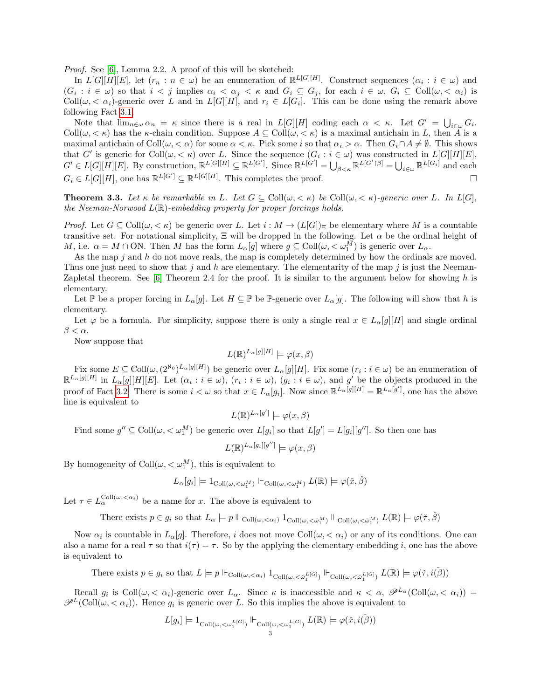Proof. See [\[6\]](#page-4-2), Lemma 2.2. A proof of this will be sketched:

In  $L[G][H][E]$ , let  $(r_n : n \in \omega)$  be an enumeration of  $\mathbb{R}^{L[G][H]}$ . Construct sequences  $(\alpha_i : i \in \omega)$  and  $(G_i : i \in \omega)$  so that  $i < j$  implies  $\alpha_i < \alpha_j < \kappa$  and  $G_i \subseteq G_j$ , for each  $i \in \omega$ ,  $G_i \subseteq \text{Coll}(\omega, < \alpha_i)$  is Coll $(\omega, \langle \alpha_i \rangle)$ -generic over L and in  $L[G][H]$ , and  $r_i \in L[G_i]$ . This can be done using the remark above following Fact [3.1.](#page-1-0)

Note that  $\lim_{n\in\omega} \alpha_n = \kappa$  since there is a real in  $L[G][H]$  coding each  $\alpha < \kappa$ . Let  $G' = \bigcup_{i\in\omega} G_i$ . Coll $(\omega, < \kappa)$  has the  $\kappa$ -chain condition. Suppose  $A \subseteq Coll(\omega, < \kappa)$  is a maximal antichain in L, then A is a maximal antichain of  $\text{Coll}(\omega, < \alpha)$  for some  $\alpha < \kappa$ . Pick some i so that  $\alpha_i > \alpha$ . Then  $G_i \cap A \neq \emptyset$ . This shows that G' is generic for Coll $(\omega, < \kappa)$  over L. Since the sequence  $(G_i : i \in \omega)$  was constructed in  $L[G][H][E]$ ,  $G' \in L[G][H][E]$ . By construction,  $\mathbb{R}^{L[G][H]} \subseteq \mathbb{R}^{L[G']}$ . Since  $\mathbb{R}^{L[G']} = \bigcup_{\beta < \kappa} \mathbb{R}^{L[G' \upharpoonright \beta]} = \bigcup_{i \in \omega} \mathbb{R}^{L[G_i]}$  and each  $G_i \in L[G][H]$ , one has  $\mathbb{R}^{L[G']} \subseteq \mathbb{R}^{L[G][H]}$ . This completes the proof.

**Theorem 3.3.** Let  $\kappa$  be remarkable in L. Let  $G \subseteq Coll(\omega, \langle \kappa \rangle)$  be Coll $(\omega, \langle \kappa \rangle)$ -generic over L. In L[G], the Neeman-Norwood  $L(\mathbb{R})$ -embedding property for proper forcings holds.

*Proof.* Let  $G \subseteq \text{Coll}(\omega, <\kappa)$  be generic over L. Let  $i : M \to (L[G])_{\Xi}$  be elementary where M is a countable transitive set. For notational simplicity,  $\Xi$  will be dropped in the following. Let  $\alpha$  be the ordinal height of M, i.e.  $\alpha = M \cap ON$ . Then M has the form  $L_{\alpha}[g]$  where  $g \subseteq Coll(\omega, \langle \omega_1^M \rangle)$  is generic over  $L_{\alpha}$ .

As the map  $j$  and  $h$  do not move reals, the map is completely determined by how the ordinals are moved. Thus one just need to show that j and h are elementary. The elementarity of the map j is just the Neeman-Zapletal theorem. See  $[6]$  Theorem 2.4 for the proof. It is similar to the argument below for showing h is elementary.

Let P be a proper forcing in  $L_{\alpha}[g]$ . Let  $H \subseteq \mathbb{P}$  be P-generic over  $L_{\alpha}[g]$ . The following will show that h is elementary.

Let  $\varphi$  be a formula. For simplicity, suppose there is only a single real  $x \in L_{\alpha}[g][H]$  and single ordinal  $\beta < \alpha$ .

Now suppose that

$$
L(\mathbb{R})^{L_{\alpha}[g][H]} \models \varphi(x,\beta)
$$

Fix some  $E \subseteq \text{Coll}(\omega, (2^{\aleph_0})^{L_{\alpha}[g][H]})$  be generic over  $L_{\alpha}[g][H]$ . Fix some  $(r_i : i \in \omega)$  be an enumeration of  $\mathbb{R}^{L_{\alpha}[g][H]}$  in  $L_{\alpha}[g][H][E]$ . Let  $(\alpha_i : i \in \omega)$ ,  $(r_i : i \in \omega)$ ,  $(g_i : i \in \omega)$ , and  $g'$  be the objects produced in the proof of Fact [3.2.](#page-1-1) There is some  $i < \omega$  so that  $x \in L_{\alpha}[g_i]$ . Now since  $\mathbb{R}^{L_{\alpha}[g][H]} = \mathbb{R}^{L_{\alpha}[g']}$ , one has the above line is equivalent to

$$
L(\mathbb{R})^{L_{\alpha}[g']} \models \varphi(x,\beta)
$$

Find some  $g'' \subseteq \text{Coll}(\omega, \langle \omega_1^M \rangle)$  be generic over  $L[g_i]$  so that  $L[g'] = L[g_i][g'']$ . So then one has

$$
L(\mathbb{R})^{L_{\alpha}[g_i][g'']} \models \varphi(x,\beta)
$$

By homogeneity of  $\text{Coll}(\omega, < \omega_1^M)$ , this is equivalent to

$$
L_{\alpha}[g_i] \models 1_{\mathrm{Coll}(\omega,<\omega_1^M)} \Vdash_{\mathrm{Coll}(\omega,<\omega_1^M)} L(\mathbb{R}) \models \varphi(\check{x},\check{\beta})
$$

Let  $\tau \in L_{\alpha}^{\text{Coll}(\omega, \langle \alpha_i \rangle)}$  be a name for x. The above is equivalent to

There exists  $p \in g_i$  so that  $L_\alpha \models p \Vdash_{\mathrm{Coll}(\omega,<\alpha_i)} 1_{\mathrm{Coll}(\omega,<\check{\omega}_1^M)} \Vdash_{\mathrm{Coll}(\omega,<\check{\omega}_1^M)} L(\mathbb{R}) \models \varphi(\check{\tau},\check{\beta})$ 

Now  $\alpha_i$  is countable in  $L_\alpha[g]$ . Therefore, i does not move Coll $(\omega, < \alpha_i)$  or any of its conditions. One can also a name for a real  $\tau$  so that  $i(\tau) = \tau$ . So by the applying the elementary embedding i, one has the above is equivalent to

There exists  $p \in g_i$  so that  $L \models p \Vdash_{\mathrm{Coll}(\omega,<\alpha_i)} 1_{\mathrm{Coll}(\omega,<\check{\alpha}_1^{L[G]})} \Vdash_{\mathrm{Coll}(\omega,<\check{\omega}_1^{L[G]})} L(\mathbb{R}) \models \varphi(\check{\tau},i(\check{\beta}))$ 

Recall  $g_i$  is  $\text{Coll}(\omega, \langle \alpha_i \rangle)$ -generic over  $L_\alpha$ . Since  $\kappa$  is inaccessible and  $\kappa \langle \alpha, \mathscr{P}^{L_\alpha}(\text{Coll}(\omega, \langle \alpha_i \rangle)) =$  $\mathscr{P}^L(\text{Coll}(\omega,<\alpha_i)).$  Hence  $g_i$  is generic over L. So this implies the above is equivalent to

$$
L[g_i] \models 1_{\mathrm{Coll}(\omega,<\omega_1^{L[G]})} \Vdash_{\mathrm{Coll}(\omega,<\omega_1^{L[G]})} L(\mathbb{R}) \models \varphi(\check{x},\check{\imath(\check{\beta})})
$$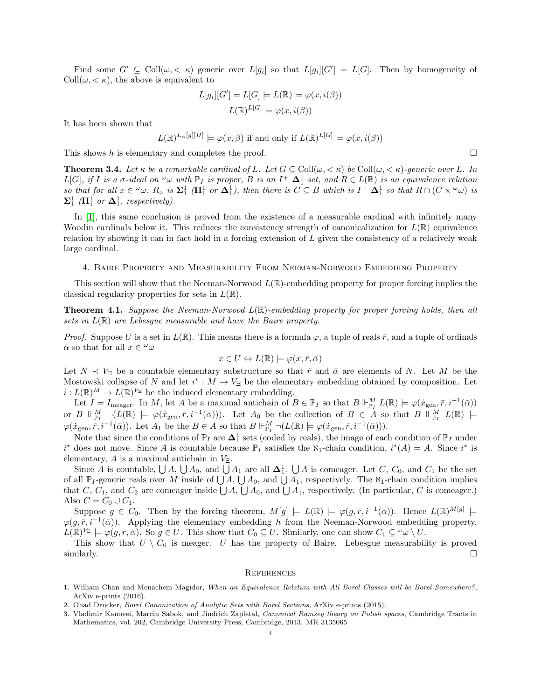Find some  $G' \subseteq Coll(\omega, \langle \kappa \rangle)$  generic over  $L[g_i]$  so that  $L[g_i][G'] = L[G]$ . Then by homogeneity of  $Coll(\omega, <\kappa)$ , the above is equivalent to

$$
L[g_i][G'] = L[G] \models L(\mathbb{R}) \models \varphi(x, i(\beta))
$$

$$
L(\mathbb{R})^{L[G]} \models \varphi(x, i(\beta))
$$

It has been shown that

$$
L(\mathbb{R})^{L_{\alpha}[g][H]} \models \varphi(x,\beta)
$$
 if and only if  $L(\mathbb{R})^{L[G]} \models \varphi(x,i(\beta))$ 

This shows h is elementary and completes the proof.  $\square$ 

**Theorem 3.4.** Let  $\kappa$  be a remarkable cardinal of L. Let  $G \subseteq Coll(\omega, \langle \kappa \rangle)$  be Coll $(\omega, \langle \kappa \rangle)$ -generic over L. In  $L[G],$  if I is a  $\sigma$ -ideal on  $\omega$  with  $\mathbb{P}_I$  is proper, B is an  $I^+$   $\Delta_1^1$  set, and  $R \in L(\mathbb{R})$  is an equivalence relation so that for all  $x \in \omega$ ,  $R_x$  is  $\Sigma^1$  ( $\Pi^1$  or  $\Delta^1$ ), then there is  $C \subseteq B$  which is  $I^+ \Delta^1$  so that  $R \cap (C \times \omega)$  is  $\Sigma_1^1$  ( $\Pi_1^1$  or  $\Delta_1^1$ , respectively).

In [\[1\]](#page-3-2), this same conclusion is proved from the existence of a measurable cardinal with infinitely many Woodin cardinals below it. This reduces the consistency strength of canonicalization for  $L(\mathbb{R})$  equivalence relation by showing it can in fact hold in a forcing extension of L given the consistency of a relatively weak large cardinal.

#### 4. Baire Property and Measurability From Neeman-Norwood Embedding Property

This section will show that the Neeman-Norwood  $L(\mathbb{R})$ -embedding property for proper forcing implies the classical regularity properties for sets in  $L(\mathbb{R})$ .

**Theorem 4.1.** Suppose the Neeman-Norwood  $L(\mathbb{R})$ -embedding property for proper forcing holds, then all sets in  $L(\mathbb{R})$  are Lebesgue measurable and have the Baire property.

*Proof.* Suppose U is a set in  $L(\mathbb{R})$ . This means there is a formula  $\varphi$ , a tuple of reals  $\bar{r}$ , and a tuple of ordinals  $\bar{\alpha}$  so that for all  $x \in \omega$ 

$$
x \in U \Leftrightarrow L(\mathbb{R}) \models \varphi(x, \bar{r}, \bar{\alpha})
$$

Let  $N \prec V_{\Xi}$  be a countable elementary substructure so that  $\bar{r}$  and  $\bar{\alpha}$  are elements of N. Let M be the Mostowski collapse of N and let  $i^*: M \to V_{\Xi}$  be the elementary embedding obtained by composition. Let  $i: L(\mathbb{R})^M \to L(\mathbb{R})^{V_{\Xi}}$  be the induced elementary embedding.

Let  $I = I_{\text{meager}}$ . In M, let A be a maximal antichain of  $B \in \mathbb{P}_I$  so that  $B \Vdash_{\mathbb{P}_I}^M L(\mathbb{R}) \models \varphi(\dot{x}_{\text{gen}}, \bar{r}, i^{-1}(\bar{\alpha}))$ or  $B \Vdash_{\mathbb{P}_I}^M \neg (L(\mathbb{R}) \models \varphi(\dot{x}_{\text{gen}}, \bar{r}, i^{-1}(\bar{\alpha})))$ . Let  $A_0$  be the collection of  $B \in \dot{A}$  so that  $B \Vdash_{\mathbb{P}_I}^M L(\mathbb{R}) \models$  $\varphi(\dot{x}_{gen}, \bar{r}, i^{-1}(\bar{\alpha}))$ . Let  $A_1$  be the  $B \in A$  so that  $B \Vdash^M_{\mathbb{P}_I} \neg(L(\mathbb{R}) \models \varphi(\dot{x}_{gen}, \bar{r}, i^{-1}(\bar{\alpha}))).$ 

Note that since the conditions of  $\mathbb{P}_I$  are  $\Delta_1^1$  sets (coded by reals), the image of each condition of  $\mathbb{P}_I$  under  $i^*$  does not move. Since A is countable because  $\mathbb{P}_I$  satisfies the  $\aleph_1$ -chain condition,  $i^*(A) = A$ . Since  $i^*$  is elementary, A is a maximal antichain in  $V_{\Xi}$ .

Since A is countable,  $\bigcup A$ ,  $\bigcup A_0$ , and  $\bigcup A_1$  are all  $\Delta_1^1$ .  $\bigcup A$  is comeager. Let C, C<sub>0</sub>, and C<sub>1</sub> be the set of all  $\mathbb{P}_I$ -generic reals over M inside of  $\bigcup A$ ,  $\bigcup A_0$ , and  $\bigcup A_1$ , respectively. The  $\aleph_1$ -chain condition implies that C,  $C_1$ , and  $C_2$  are comeager inside  $\bigcup A$ ,  $\bigcup A_0$ , and  $\bigcup A_1$ , respectively. (In particular, C is comeager.) Also  $C = C_0 \cup C_1$ .

Suppose  $g \in C_0$ . Then by the forcing theorem,  $M[g] \models L(\mathbb{R}) \models \varphi(g, \bar{r}, i^{-1}(\bar{\alpha}))$ . Hence  $L(\mathbb{R})^{M[g]} \models$  $\varphi(g,\bar{r},i^{-1}(\bar{\alpha}))$ . Applying the elementary embedding h from the Neeman-Norwood embedding property,  $L(\mathbb{R})^{V_{\Xi}} \models \varphi(g, \bar{r}, \bar{\alpha})$ . So  $g \in U$ . This show that  $C_0 \subseteq U$ . Similarly, one can show  $C_1 \subseteq {}^{\omega}\omega \setminus U$ .

This show that  $U \setminus C_0$  is meager. U has the property of Baire. Lebesgue measurability is proved similarly.  $\square$ 

#### **REFERENCES**

- <span id="page-3-2"></span>1. William Chan and Menachem Magidor, When an Equivalence Relation with All Borel Classes will be Borel Somewhere?, ArXiv e-prints (2016).
- <span id="page-3-1"></span>2. Ohad Drucker, Borel Canonization of Analytic Sets with Borel Sections, ArXiv e-prints (2015).
- <span id="page-3-0"></span>3. Vladimir Kanovei, Marcin Sabok, and Jindřich Zapletal, Canonical Ramsey theory on Polish spaces, Cambridge Tracts in Mathematics, vol. 202, Cambridge University Press, Cambridge, 2013. MR 3135065